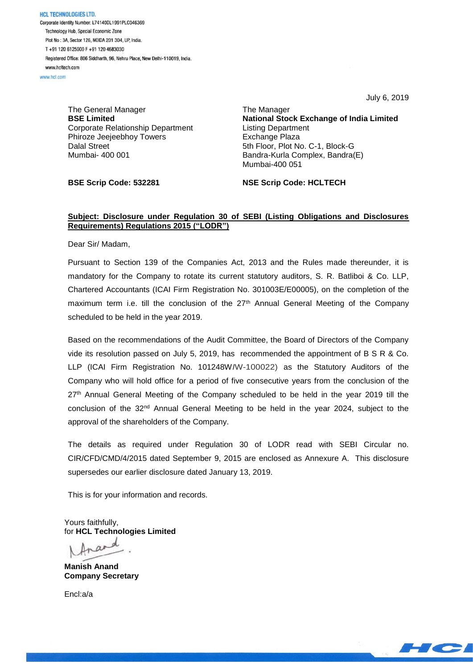**HCL TECHNOLOGIES LTD.** Corporate Identity Number: L74140DL1991PLC046369 Technology Hub, Special Economic Zone Plot No: 3A, Sector 126, NOIDA 201 304, UP, India. T+91 120 6125000 F+91 120 4683030 Registered Office: 806 Siddharth, 96, Nehru Place, New Delhi-110019, India. www.hcltech.com

www.hel.com

The General Manager **BSE Limited** Corporate Relationship Department Phiroze Jeejeebhoy Towers Dalal Street Mumbai- 400 001

July 6, 2019

The Manager **National Stock Exchange of India Limited** Listing Department Exchange Plaza 5th Floor, Plot No. C-1, Block-G Bandra-Kurla Complex, Bandra(E) Mumbai-400 051

**BSE Scrip Code: 532281**

**NSE Scrip Code: HCLTECH**

## **Subject: Disclosure under Regulation 30 of SEBI (Listing Obligations and Disclosures Requirements) Regulations 2015 ("LODR")**

Dear Sir/ Madam,

Pursuant to Section 139 of the Companies Act, 2013 and the Rules made thereunder, it is mandatory for the Company to rotate its current statutory auditors, S. R. Batliboi & Co. LLP, Chartered Accountants (ICAI Firm Registration No. 301003E/E00005), on the completion of the maximum term i.e. till the conclusion of the 27<sup>th</sup> Annual General Meeting of the Company scheduled to be held in the year 2019.

Based on the recommendations of the Audit Committee, the Board of Directors of the Company vide its resolution passed on July 5, 2019, has recommended the appointment of B S R & Co. LLP (ICAI Firm Registration No. 101248W*I*W-100022) as the Statutory Auditors of the Company who will hold office for a period of five consecutive years from the conclusion of the 27<sup>th</sup> Annual General Meeting of the Company scheduled to be held in the year 2019 till the conclusion of the  $32<sup>nd</sup>$  Annual General Meeting to be held in the year 2024, subject to the approval of the shareholders of the Company.

The details as required under Regulation 30 of LODR read with SEBI Circular no. CIR/CFD/CMD/4/2015 dated September 9, 2015 are enclosed as Annexure A. This disclosure supersedes our earlier disclosure dated January 13, 2019.

This is for your information and records.

Yours faithfully, for **HCL Technologies Limited**

d.

**Manish Anand Company Secretary**

Encl:a/a